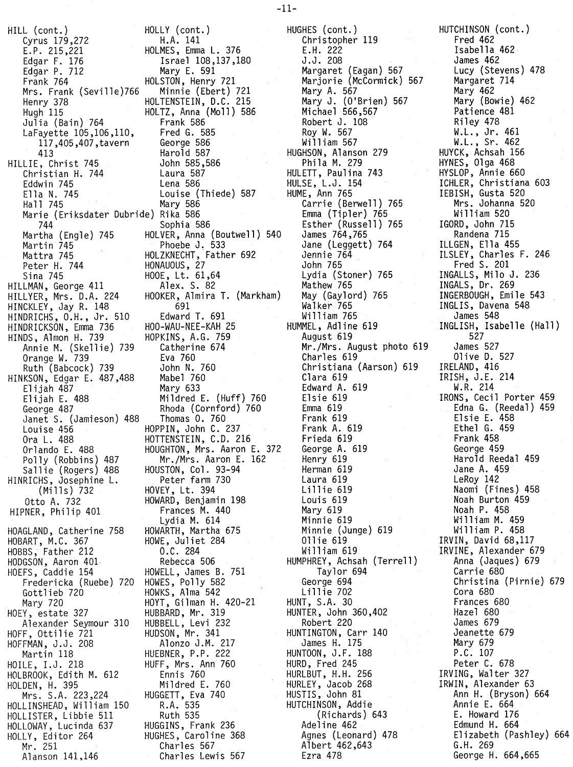HILL (cont.) HOLLY (cont.) Cyrus 179,272<br>E.P. 215,221 Edgar F. 176<br>Edgar P. 712<br>Frank 764 Mrs. Frank (Seville)766<br>Henry 378 Henry 378 HOLTENSTEIN. D.C. 215 Hugh 115 HOLTZ, Anna (Moll) 586 Julia (Bain) 764 Frank 586 LaFayette 105,106,110, Fred G. 585<br>117,405,407,tavern George 586 117,405,407, tavern 413 Harold 587 HILLIE, Christ 745 John 585,<br>Christian H. 744 Laura 587 Christian H. 744 Laura 587 Eddwin 745<br>Ella N. 745 Ella N. 745 Louise (Thiede) 587 Marie (Eriksdater Dubride) Rika 586 744 Sophia 586 Martha (Engle) 745<br>Martin 745<br>Mattra 745 Mattra 745 HOLZKNECHT, .Father 692 Peter H. 744 HONAUOUS. 27 HILLMAN, George 411<br>HILLYER, Mrs. D.A. 224 HINCKLEY. Jay R. 148 691 HINDRICHS. O.H., Jr. 510 Edward T. 691 HINDRICKSON, Emma 736 HOO-WAU-NEE-KAH 25 HINDS. Almon H. 739 HOPKINS, A.G. 759 Annie M. (Skellie) 739 Catherine 674 Orange W. 739 Eva 760 Ruth (Babcock) 739 John N. 760 HINKSON. Edgar E. 487.488 Mabel 760 Elijah 487 Elijah E. 488 Mildred E. (Huff) 760 George 487 Rhoda (Cornford) 760 Janet S. (Jamieson) 488<br>Louise 456 Louise 456 HOPPIN, John C. 237 Polly (Robbins) 487 Mr./Mrs. Aaron E. 162<br>Sallie (Rogers) 488 HOUSTON, Col. 93-94 Sallie (Rogers) 488 HOUSTON, Col. 93-94 HINRICHS, Josephine L. (Mills) 732 HOVEY, Lt. 394 HIPNER, Philip 401 HOAGLAND, Catherine 758 HOBART. M.C. 367 HOBBS. Father 212 HODGSON. Aaron 401 HOEFS, Caddie 154 Fredericka (Ruebe) Gottlieb 720 Mary 720 HOEY, estate 327 Alexander Seymour 310 HOFF. Ottilie 721 HOFFMAN, J.J. 208 Martin 118 HOlLE. I.J. 218 HOLBROOK. Edith M. 612 HOLDEN. H. 395 Mrs. S.A. 223,224 HOLLINSHEAD, William 150 HOLLISTER. Libbie 511 HOLLOWAY. Lucinda 637 HOLLY, Editor 264 Mr. 251 Alanson 141,146

HOLMES, Emma L. 376 Israel 108,137,180<br>Mary E. 591 HOLSTON, Henry 721<br>Minnie (Ebert) 721 Mary 586 HOLVER, Anna (Boutwell) 540<br>Phoebe J. 533 HOOE, Lt. 61,64<br>Alex. S. 82 HOOKER, Almira T. (Markham)<br>691 HOTTENSTEIN, C.D. 216 Orlando E. 488 HOUGHTON, Mrs. Aaron E. 372 HOWARD, Benjamin 198<br>Frances M. 440 Lydia M. 614 HOWARTH, Martha 675 HOWE, Juliet 284 O.C. 284 Rebecca 506 HOWELL, James B. 751 HOWES, Polly 582 HOWKS, Alma 542 HOYT, Gilman H. 420-21 HUBBARD, Mr. 319 HUBBELL, Levi 232 HUDSON, Mr. 341 Alonzo J.M. 217 HUEBNER, P.P. 222 HUFF, Mrs. Ann<sup>760</sup> Ennis 760 Mi1dred E. 760 HUGGETT, Eva 740 R.A. 535 Ruth 535 HUGGINS, Frank 236 HUGHES. Caroline 368 Charles 567 Charles Lewis 567

HUGHES (cont.) Christopher 119 E.H. 222 J.J. 208 Margaret (Eagan) 567 Marjorie (McCormick) 567 Mary A. 567 Mary J. (O'Brien) 567 Michael 566,567 Robert J. 108 Roy W. 567 William 567 HUGHSON, Alanson 279 Phi1a M. 279 HULETT, Paulina 743 HULSE. L.J. 154 HUME, Ann 765 Carrie (Berwell) 765 Emma (Tipler) 765 Esther (Russell) 765 James 764,765 Jane (Leggett) 764 Jennie 764 John 765 Lydia (Stoner) 765 Mathew 765 May (Gaylord) 765 Walker 765 Wi 11iam 765 HUMMEL, Adline 619 August 619 Mr./Mrs. August photo 619 Charles 619 Christiana (Aarson) 619 Clara 619 Edward A. 619 Elsie 619 Emma 619 Frank 619 Frank A. 619 Frieda 619 George A. 619 Henry 619 Herman 619 Laura 619 Lillie 619 Louis 619 Mary 619 Minnie 619 Minnie (Junge) 619 Ollie 619 William 619 HUMPHREY, Achsah (Terrell) Taylor 694 George 694 Lill ie 702 HUNT, S.A. 30 HUNTER. John 360.402 Robert 220 HUNTINGTON, Carr 140 James H. 175 HUNTOON, J.F. 188 HURD. Fred 245 HURLBUT. H.H. 256 HURLEY, Jacob 268 HUSTIS, John 81 HUTCHINSON, Addie (Richards) 643 Adeline 462 Agnes (Leonard) 478 Albert 462,643 Ezra 478

HUTCHINSON (cont.) Fred 462 Isabella 462 James 462 Lucy (Stevens) 478 Margaret 714 Mary 462 Mary (Bowie) 462 Patience 481 Riley 478 W.L., Jr. 461 W.L., Sr. 462 HUYCK, Achsah 156 HYNES, 01ga 468 HYSLOP, Annie 660 ICHLER. Christiana 603 IEBISH. Gusta 520 Mrs. Johanna 520 Wi 11iam 520 IGORD, John 715 Randena 715 ILLGEN, Ella 455 ILSLEY, Charles F. 246 Fred S. 201 INGALLS, Milo J. 236 INGALS, Dr. 269 INGERBOUGH, Emile 543 INGLIS, Davena 548 James 548 INGLISH, Isabelle (Hall) 527 James 527 Olive D. 527 IRELAND, 416 IRISH, J.E. 214 W.R. 214 IRONS, Cecil Porter 459 Edna G. (Reedal) 459 Elsie E. 458 Ethel G. 459 Frank 458 George 459 Harold Reedal 459 Jane A. 459 LeRoy 142 Naomi (Fines) 458 Noah Burton 459 Noah P. 458 Wi 11iam M. 459 Wi 11iam P. 458 IRVIN. David 68,117 IRVINE, Alexander 679 Anna (Jaques) 679 Carrie 680 Christina (Pirnie) 679 Cora 680 Frances 680 Hazel 680 James 679 Jeanette 679 Mary 679 P.C. 107 Peter C. 678 IRVING, Walter 327 lRWIN, Alexander 63 Ann H. (Bryson) 664 Annie E. 664 E. Howard 176 Edmund H. 664 Elizabeth (Pashley) 664 G.H. 269 George H. 664,665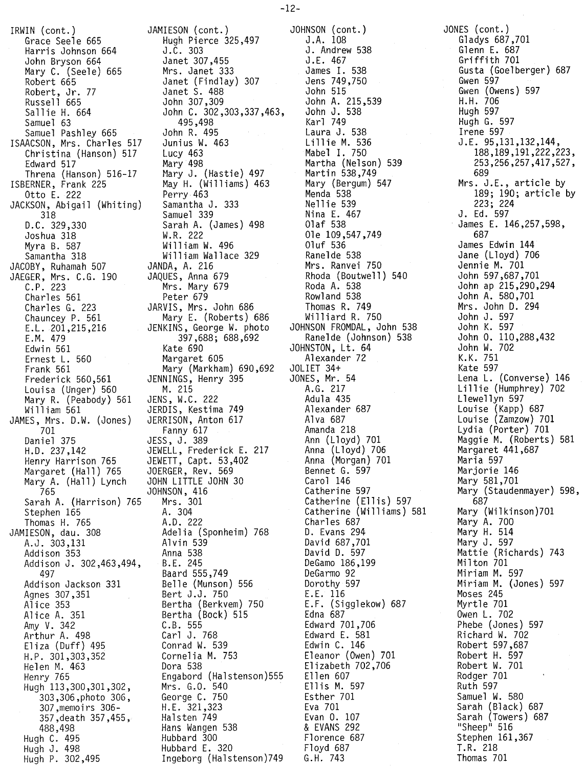-12-

IRWIN (cont.) Grace Seele 665 Harris Johnson 664 John Bryson 664 Mary C. (Seele) 665 Robert 665 Robert, Jr. 77 Russell 665 Sall ie H. 664 Samuel 63 Samuel Pashley 665 ISAACSON, Mrs. Charles 517 Christina (Hanson) 517 Edward 517 Threna (Hanson) 516-17 ISBERNER, Frank 225 Otto E. 222 JACKSON, Abigail (Whiting)  $318$ <br>D.C.  $329,330$ D.C. 329,330 Joshua 318 Myra B. 587 Samantha 318 JACOBY, Ruhamah 507 JAEGER, Mrs. C.G. 190 C.P. 223 Charles 561 Charles G. 223 Chauncey P. 561 E.L.201,215,216 E.M. 479 Edwin 561 Ernest L. 560 Frank 561 Frederick 560,561 Louisa (Unger) 560 Mary R. (Peabody) 561 William 561 JAMES, Mrs. D.W. (Jones) 701 Daniel 375 H.D. 237,142 Henry Harrison 765 Margaret (Hall) 765 Mary A. (Hall) Lynch 765<br>Sarah A. (Harrison) 765 Sarah A. (Harrison) Stephen 165 Thomas H. 765 JAMIESON, dau. 308 A.J. 303,131 Addison 353 Addison J. 302,463,494, 497 Addison Jackson 331 Agnes 307,351 Alice 353 Alice A. 351 Amy V. 342 Arthur A. 498 Eliza (Duff) 495 H.P. 301,303,352 Helen M. 463 Henry 765 Hugh 113,300,301,302, 303,306,photo 306, 307,memoirs 306- 357,death 357,455, 488,498 Hugh C. 495 Hugh J. 498 Hugh P. 302,495

JAMIESON (cont.) Hugh Pierce 325,497 J.C. 303 Janet 307,455 Mrs. Janet 333 Janet (Findlay) 307 Janet S. 488 John 307,309 John C. 302,303,337,463, 495,498 John R. 495 Junius W. 463 Lucy 463 Mary 498 t1ary J. (Hastie) 497 May H. (Williams) 463 Perry 463 Samantha J. 333 Samuel 339 Sarah A. (James) 498 W.R. 222 Will iam W. 496 William Wallace 329 JANDA, A. 216 JAQUES, Anna 679 Mrs. Mary 679 Peter 679 JARVIS, Mrs. John 686 Mary E. (Roberts) 686 JENKINS, George W. photo 397,688; 688,692 Kate 690 Margaret 605 Mary (Markham) 690,692 JENNINGS, Henry 395 M. 215 JENS, W.C. 222 JERDIS, Kestima 749 JERRISON, Anton 617 Fanny 617 JESS, J. 389 JEWELL, Frederick E. 217 JEWETT, Capt. 53,402 JOERGER, Rev. 569 JOHN LITTLE JOHN 30 JOHNSON, 416 765 Mrs. 301 A. 304 A.D. 222 Adelia (Sponheim) 768 Alvin 539 Anna 538 B.E. 245 Baard 555,749 Belle (Munson) 556 Bert J.J. 750 Bertha (Berkvem) 750 Bertha (Bock) 515 C.B. 555 Carl J. 768 Conrad W. 539 Cornelia M. 753 Dora 538 Engabord (Halstenson)555 Mrs. G.O. 540 George C. 750 H.E. 321,323 Halsten 749 Hans Wangen 538 Hubbard 300 Hubbard E. 320 Ingeborg (Halstenson)749

JOHNSON (cont.) J .A. 108 J. Andrew 538 J.E. 467 James I. 538 Jens 749,750 John 515 John A. 215,539 John J. 538 Karl 749 Laura J. 538 Lillie M. 53<mark>6</mark> Mabel 1. 750 Martha (Nelson) 539 Martin 538,749 Mary (Bergum) 547 Menda 538 Nell ie 539 Nina E. 467 Olaf 538 Ole 109,547,749 Oluf 536 Ranelde 538 Mrs. Ranvei 750 Rhoda (Boutwell) 540<br>Roda A. 538 Roda A. 538 Rowland 538 Thomas R. 749 Williard R. 750 JOHNSON FROMDAL, John 538 Ranelde (Johnson) 538 JOHNSTON, Lt. 64 Alexander 72 JOLIET 34+ JONES, Mr. 54 A.G. 217 Adula 435 Alexander 687 Alva 687 Amanda 218<br>Ann (Lloyd) 701 Ann (Lloyd) 701 Anna (Lloyd) 706 Anna (Morgan) 701 Bennet G. 597 Carol 146 Catherine 597 Catherine (Ellis) 597 Catherine (Ellis) 597<br>Catherine (Williams) 581 Charles 687 D. Evans 294 David 687,701 David D. 597 DeGamo 186,199 DeGarmo 92 Dorothy 597 E.E. 116 E.F. (Sigglekow) 687 Edna 687 Edward 701,706 Edward E. 581 Edwin C. 146 Eleanor (Owen) 701 Elizabeth 702,706 Ellen 607 Ell is M. 597 Esther 701 Eva 701 Evan O. 107 & EVANS <sup>292</sup> Florence 687 Floyd 687 G.H. 743

JONES (cont.) Gladys 687,701 Glenn E. 687 Griffith 701 Gusta (Goelberger) 687 Gwen 597 Gwen (Owens) 597 H.H. 706 Hugh 597 Hugh G. 597 Irene 597 J.E. 95,131,132,144, 188,189,191,222,223, 253,256,257,417,527, 689 Mrs. J.E., article by 189; 190; article by 223; 224 J. Ed. 597 James E. 146,257,598, 687 James Edwin 144 Jane (Lloyd) 706 Jennie M. 701 John 597,687,701 John ap 215,290,294 John A. 580,701 Mrs. John D. 294 John J. 597 John K. 597 John O. 110,288,432 John W. 702 K.K. 751 Kate 597 Lena L. (Converse) 146 Lillie (Humphrey) 702 L1ewe llyn 597 Louise (Kapp) 687 Louise (Zamzow) 701 Lydia (Porter) 701 Maggie M. (Roberts) 581 Margaret 441,687 Maria 597 Marjorie 146 Mary 581,701 Mary (Staudenmayer) 598, 687 Mary (Wilkinson)701 Mary A. 700 Mary H. 514 Mary J. 597 Mattie (Richards) 743 Milton 701 Miriam M. 597 Miriam M. (Jones) 597 Moses 245 Myrtle 701 Owen L. 702 Phebe (Jones) 597 Richard W. 702 Robert 597,687 Robert H. 597 Robert W. 701 Rodger 701 Ruth 597 Samuel W. 580 Sarah (Black) 687 Sarah (Towers) 687 "Sheep" 516 Stephen 161,367 LR. 218 Thomas 701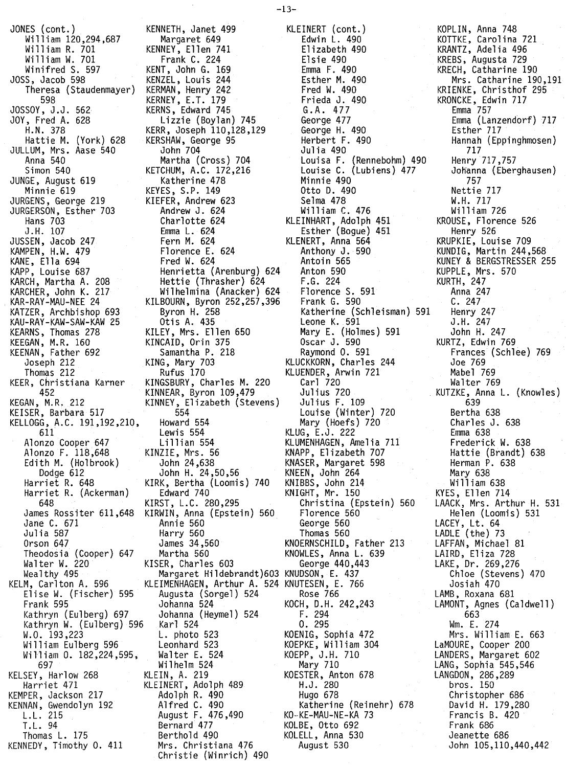JONES (cont.) William 120,294,687 William R. 701 Wi 11 iam W. 701 Winifred S. 597 JOSS, Jacob 598 Theresa (Staudenmayer) 598 JOSSOY, J.J. 562 JOY, Fred A. 628 H.N. 378 Hattie M. (York) 628 JULLUM, Mrs. Aase 540 Anna 540 Simon 540 JUNGE, August 619 Minnie 619 JURGENS, George 219 JURGERSON, Esther 703 Hans 703 J. H. 107 JUSSEN, Jacob 247 KAMPEN, H.W. 479 KANE, Ella 694 KAPP, Louise 687 KARCH, Martha A. 208 KARCHER, John K. 217 KAR-RAY-MAU-NEE 24 KATZER, Archbishop 693 KAU-RAY-KAW-SAW-KAW 25 KEARNS, Thomas 278 KEEGAN, M.R. 160 KEENAN, Father 692 Joseph 212 Thomas 212 KEER, Christiana Karner 452 KEGAN, M.R, 212 KEISER, Barbara 517 KELLOGG, A.C. 191,192,210, 611 Alonzo Cooper 647 Alonzo F. 118,648 Edith M. (Holbrook) Dodge 612 Harriet R. 648 Harriet R. (Ackerman) 648 James Rossiter 611,648 Jane C. 671 Julia 587 Orson 647 Theodosia (Cooper) 647 Walter W. 220 Weal thy 495 KELM, Carlton A. 596 El ise W. (Fischer) 595 Frank 595 Kathryn (Eulberg) 697 Kathryn W. (Eulberg) 596 W.O. 193,223 William Eulberg 596 William O. 182,224,595, 697 KELSEY, Harlow 268 Harriet 471 KEMPER, Jackson 217 KENNAN, Gwendolyn 192 L.L. 215 T. L. 94 Thomas L. 175 KENNEDY, Timothy O. 411

KENNETH, Janet 499 Margaret 649 KENNEY, Ellen 741 Frank C. 224 KENT, John G. 169 KENZEL, Louis 244 KERMAN, Henry 242 KERNEY, E.T. 179 KERNS, Edward 745 Lizzie (Boylan) 745 KERR, Joseph 110,128,129 KERSHAW, George 95 John 704 Martha (Cross) 704 KETCHUM, A.C. 172,216 Katherine 478 KEYES, S.P. 149 KIEFER, Andrew 623 Andrew J. 624 Charlotte 624 Emma L. 624 Fern M. 624 Florence E. 624 Fred W. 624 Henrietta (Arenburg) 624 Hettie (Thrasher) 624 Wilhelmina (Anacker) 624 KILBOURN, Byron 252,257,396 Byron H. 258 Otis A. 435 KILEY, Mrs. Ellen 650 KINCAID, Orin 375 Samantha P. 218 KING, Mary 703 Rufus 170 KINGSBURY, Charles M. 220 KINNEAR, Byron 109,479 KINNEY, Elizabeth (Stevens) 554 Howard 554 Lewis 554 Li 11ian 554 KINZIE, Mrs. 56 John 24,638 John H. 24,50,56 KIRK, Bertha (Loomis) 740 Edward 740 KIRST, L.C. 280,295 KIRWIN, Anna (Epstein) 560 Annie 560 Harry 560 James 34,560 Martha 560 KISER, Charles 603 Margaret Hildebrandt)603 KNUDSON, E. 437 KLEIMENHAGEN, Arthur A. 524 KNUTESEN, E. 766 Augusta (Sorgel) 524 Johanna 524 Johanna (Heymel) 524 Karl 524 L. photo 523 Leonhard 523 Walter E. 524 Wilhelm 524 KLEIN, A. 219 KLEINERT, Adolph 489 Adolph R. 490 Alfred C. 490 August F. 476,490 Bernard 477 Berthold 490 Mrs. Christiana 476 Christie (Winrich) 490

KLEINERT (cont.) Edwin L. 490 Elizabeth 490 Elsie 490 Emma F. 490 Esther M. 490 Fred W. 490 Frieda J. 490 G.A. 477 George 477 George H. 490 Herbert F. 490 Julia 490 Louisa F. (Rennebohm) 490 Louise C. (Lubiens) 477 Minnie 490 Otto D. 490 Selma 478 Will iam C. 476 KLEINHART, Adolph 451 Esther (Bogue) 451 KLENERT, Anna 564 Anthony J. 590 Antoin 565 Anton 590 F.G. 224 Florence S. 591 Frank G. 590 Katherine (Schleisman) 591 Leone K. 591 Mary E. (Holmes) 591 Oscar J. 590 Raymond O. 591 KLUCKKORN, Charles 244 KLUENDER, Arwin 721 Carl 720 Julius 720 Julius F. 109 Louise (Winter) 720 Mary (Hoefs) 720 KLUG, E.J. 222 KLUMENHAGEN, Amelia 711 KNAPP, Elizabeth 707 KNASER, Margaret 598 KNEEN, John 264 KNIBBS, John 214 KNIGHT, Mr. 150 Christina (Epstein) 560 Florence 560 George 560 Thomas 560 KNOERNSCHILD, Father 213 KNOWLES, Anna L. 639 George 440,443 Rose 766 KOCH, D.H. 242,243 F. 294 O. 295 KOENIG, Sophia 472 KOEPKE, William 304 KOEPP, J.H. 710 Mary 710 KOESTER, Anton 678 H.J. 280 Hugo 678 Katherine (Reinehr) 678 KO··KE-MAU-NE-KA 73 KOLBE, Otto 692 KOLELL, Anna 530 August 530

KOPLIN, Anna 748 KOTTKE, Carolina 721 KRANTZ, Adelia 496 KREBS, Augusta 729 KRECH, Catharine 190 Mrs. Catharine 190,191 KRIENKE, Christhof 295 KRONCKE, Edwin 717 Emma 757 Emma (Lanzendorf) 717 Esther 717 Hannah (Eppinghmosen) 717 Henry 717,757 Jotfanna (Eberghausen) 757 Nettie 717 W.H. 717 William 726 KROUSE, Florence 526 Henry 526 KRUPKIE, Louise 709 KUNDIG, Martin 244,568 KUNEY & BERGSTRESSER <sup>255</sup> KUPPLE. Mrs. 570 KURTH, 247 Anna 247 C. 247 Henry 247 J .H. 247 John H. 247 KURTZ, Edwin 769 Frances (Schlee) 769 Joe 769 Mabel 769 Walter 769 KUTZKE, Anna L. (Knowles) 639 Bertha 638 Charles J. 638 Emma 638 Frederick W. 638 Hattie (Brandt) 638 Herman P. 638 Mary 638 William 638 KYES, Ellen 714 LAACK, Mrs. Arthur H. 531 Helen (Loomis) 531 LACEY, Lt. 64 LADLE (the) 73 LAFFAN, Michael 81 LAIRD, Eliza 728 LAKE, Dr. 269,276 Chloe (Stevens) 470 Josiah 470 LAMB, Roxana 681 LAMONT, Agnes (Caldwell) 663 Wm. E. 274 Mrs. William E. 663 LaMOURE, Cooper 200 LANDERS, Margaret 602 LANG, Sophia 545,546 LANGDON, 286,289 bros. 150 Christopher 686 David H. 179,280 Francis B. 420 Frank 686 Jeanette 686 John 105,110,440,442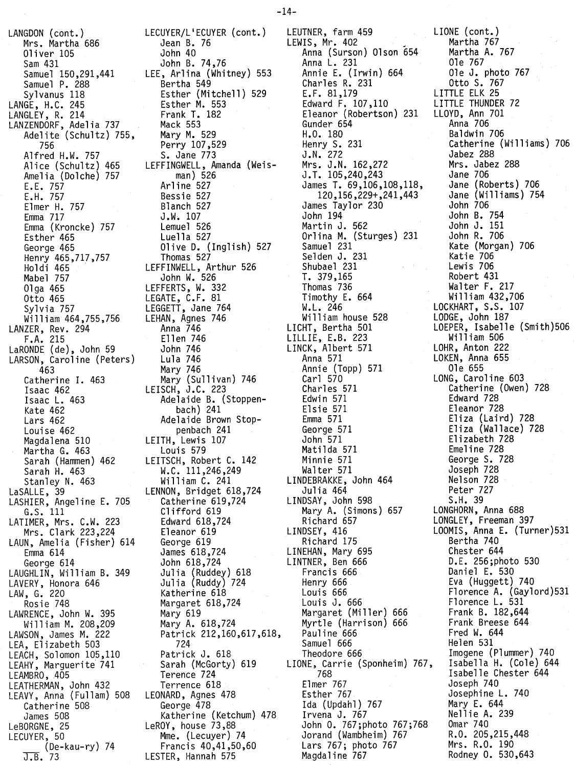LANGDON (cont.) Mrs. Martha 686 Oliver 105 Sam 431 Samuel 150,291,441 Samuel P. 288 Syl vanus 118 LANGE, H.C. 245 LANGLEY, R. 214 LANZENDORF, Adelia 737 Adelite (Schultz) 755, 756 Alfred H.W. 757 Alice (Schultz) 465 Amelia (Dolche) 757 E.E. 757 E.H. 757 Elmer H. 757 Emma 717 Emma (Kroncke) 757 Esther 465 George 465 ,henry 465,/17, Holdi 465 . Mabel 757 01ga 465 Otto 465 Sylvia 757 William 464,755,756 LANZER, Rev. 294 F.A. 215 LaRONDE (de), John 59 LARSON, Caroline (Peters) 463 Catherine I. 463 Isaac 462 Isaac L. 463 Kate 462 Lars 462 Louise 462 Magdalena 510 Martha G. 463 Sarah (Hammen) 462 Sarah H. 463 Stanley N. 463 LaSALLE, 39 LASHIER, Angeline E. 705 G.S. 111 LATIMER, Mrs. C.W. 223 Mrs. Clark 223,224 LAUN, Amelia (Fisher) 614 Emma 614 George 614 LAUGHLIN, William B. 349 LAVERY, Honora 646 LAW, G. 220 Rosie 748 LAWRENCE, John W. 395 William M. 208,209 LAWSON, James M. 222 LEA, Elizabeth 503 LEACH, Solomon 105,110 LEAHY, Marguerite 741 LEAMBRO, 405 LEATHERMAN, John 432 LEAVY, Anna (Fullam) 508 Catherine 508 James 508 LeBORGNE, 25 LECUYER, 50 (De-kau-ry) 74 J.B. 73

LECUYER/L'ECUYER (cont.) Jean B. 76 John 40 John B. 74,76 LEE, Arlina (Whitney) 553 Bertha 549 Esther (Mitchell) 529 Esther M. 553 Frank T. 182 Mack 553 Mary M. 529 Perry 107,529 S. Jane 773 LEFFINGWELL, Amanda (Weisman) 526 Arline 527 Bessie 527 Blanch 527 J.W. 107 Lemuel 526 Luella 527 Olive D. (Inglish) 527 Thomas 527 LEFFINWELL, Arthur 526 John W. 526 LEFFERTS, W. 332 LEGATE, C.F. 81 LEGGETT, Jane 764 LEHAN, Agnes 746 Anna 746 Ellen 746 John 746 Lula 746 Mary 746 Mary (Sullivan) 746 LEISCH, J.C. 223 Adelaide B. (Stoppenbach) 241 Adelaide Brown Stoppenbach 241 LEITH, Lewis 107 Louis 579 LEITSCH, Robert C. 142 W.C. 111,246,249 William C. 241 LENNON, Bridget 618,724 Catherine 619,724 Clifford 619 Edward 618,724 Eleanor 619 George 619 James 618,724 John 618,724 Julia (Ruddey) 618 Julia (Ruddy) 724 Katherine 618 Margaret 618,724 Mary 619 Mary A. 618,724 Patrick 212,160,617,618, 724 Patrick J. 618 Sarah (McGorty) 619 Terence 724 Terrence 618 LEONARD, Agnes 478 George 478 Katherine (Ketchum) 478 LeROY, house 73,88 Mme. (Lecuyer) 74 Francis 40,41,50,60 LESTER, Hannah 575

LEUTNER, farm 459 LIONE (cont.) LEWIS, Mr. 402 Anna (Surson) Olson 654 Anna L. 231 Annie E. (Irwin) 664 Charles R. 231 E.F. 81,179 Edward F. 107,110 Eleanor (Robertson) 231 Gunder 654 H.O. 180 Henry S. 231 J.N. 272 Mrs. J.N. 162,272 J.T. 105,240,243 James T. 69,106,108,118, 120,156,229+,241,443 James Taylor 230 John 194 Martin J. 562 Orlina M. (Sturges) 231 Samuel 231 Selden J. 231 Shubael 231 1. 379,165 Thomas 736 Timothy E. 664 W.L. 246 William house 528 LICHT, Bertha 501 LILLIE, E.B. 223 LINCK, Albert 571 Anna 571 Annie (Topp) 571 Carl 570 Charles 571 Edwin 571 Elsie 571 Emma 571 George 571 John 571 Matilda 571 Minnie 571 Walter 571 LINDEBRAKKE, John 464 Julia 464 LINDSAY, John 598 Mary A. (Simons) 657 Richard 657 LINDSEY, 416 Richard 175 LINEHAN, Mary 695 LINTNER, Ben 666 Francis 666 Henry 666 Louis 666 Louis J. 666 Margaret (Miller) 666 Myrtle (Harrison) 666 Pauline 666 Samuel 666 Theodore 666 LIONE, Carrie (Sponheim) 767, 768 Elmer 767 Esther 767 Ida (Updahl) 767 Irvena J. 767 John O. 767;photo 767;768 Jorand (Wambheim) 767 Lars 767; photo 767 Magdaline 767

Martha 767 Martha A. 767 Ole 767 Ole J. photo 767 Otto S. 767 LITTLE ELK 25 LITTLE THUNDER 72 LLOYD, Ann 701 Anna 706 Baldwin 706 Catherine (Williams) 706 Jabez 288 Mrs. Jabez 288 Jane 706 Jane (Roberts) 706 Jane (Williams) 754 John 706 John B. 754 John J. 151 John R. 706 Kate (Morgan) 706 Katie 706 Lewis 706 Robert 431 Walter F. 217 Will iam 432,706 LOCKHART, S.S. 107 LODGE, John 187 LOEPER, Isabelle (Smith)506 William 506 LOHR, Anton 222 LOKEN, Anna 655 Ole 655 LONG, Caroline 603 Catherine (Owen) 728 Edward 728 Eleanor 728 Eliza (Laird) 728 Eliza (Wallace) 728 Elizabeth 728 Emeline 728 George S. 728 Joseph 728 Nelson 728 Peter 727 S.H. 39 LONGHORN, Anna 688 LONGLEY, Freeman 397 LOOMIS, Anna E. (Turner)531 Bertha 740 Chester 644 D.E. 256;photo 530 Daniel E. 530 Eva (Huggett) 740 Florence A. (Gaylord)531 Florence L. 531 Frank B. 182,644 Frank Breese 644 Fred W. 644 Helen 531 Imogene (Plummer) 740 Isabella H. (Cole) 644 Isabelle Chester 644 Joseph 740 Josephine L. 740 Mary E. 644 Nellie A. 239 Omar 740 R.O. 205,215,448 Mrs. R.O. 190 Rodney O. 530,643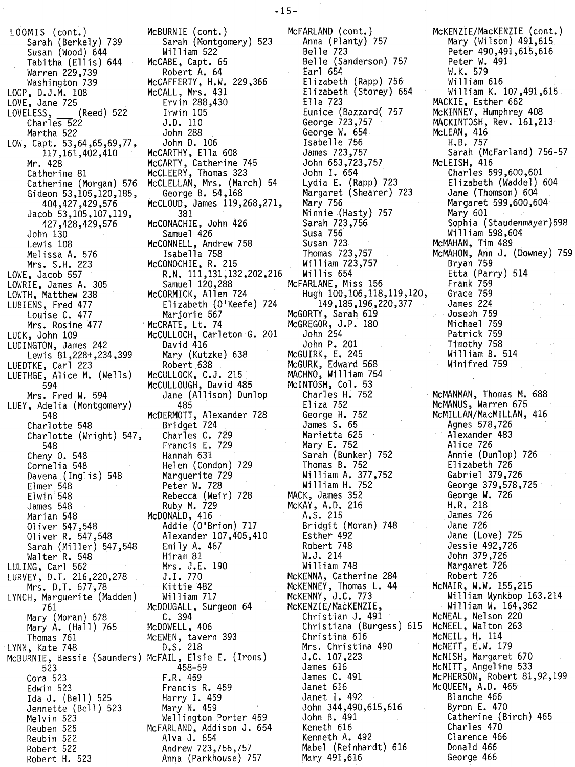LOOMIS (cont.) Sarah (Berkely) 739 Susan (Wood) 644 Tabitha (Ellis) 644 Warren 229,739 Washington 739 LOOP, D.J.M. 108 LOVE, Jane 725 LOVELESS, (Reed) 522 Charles 522 Martha 522 LOW, Capt. 53,64,65,69,77, 117,161,402,410 Mr. 428 Catherine 81 Catherine (Morgan) 576 Gideon 53,105,120,185, 404,427,429,576 Jacob 53,105,107,119, 427,428,429,576 John 130 Lewis 108 Melissa A. 576 Mrs. S.H. 223 LOWE, Jacob 557 LOWRIE, James A. 305 LOWTH, Matthew 238 LUBIENS, Fred 477 Louise C. 477 Mrs. Rosine 477 LUCK, John 109 LUDINGTON, James 242 Lewis 81,228+,234,399 LUEDTKE, Carl 223 LUETHGE, Alice M. (Wells) 594 Mrs. Fred W. 594 LUEY, Adelia (Montgomery) 548 Charlotte 548 Charlotte (Wright) 547, 548 Cheny O. 548 Cornelia 548 Davena (Inglis) 548 Elmer 548 Elwin 548 James 548 Marian 548 Oliver 547,548 Oliver R. 547,548 Sarah (Miller) 547,548 Walter R. 548 LULING, Carl 562 LURVEY, D.T. 216,220,278 Mrs. D.T. 677,78 LYNCH, Marguerite (Madden) 761 Mary (Moran) 678 Mary A. (Hall) 765 Thomas 761 LYNN, Kate 748 McBURNIE, Bessie (Saunders) McFAlL, Elsie E. (Irons) J.C. 107,223 523 Cora 523 Edwin 523 Ida J. (Bell) 525 Jennette (Bell) 523 Melvin 523 Reuben 525 Reubin 522

Robert 522 Robert H. 523

McBURNIE (cont.) McFARLAND (cont.) Sarah (Montgomery) 523 Anna (Planty) 757 William 522<br>McCABE, Capt. 65 William 522<br>CABE, Capt. 65 Belle (Sanderson) 757<br>Robert A. 64 Earl 654 Robert A. 64 Earl 654 McCAFFERTY, H.W. 229,366 Elizabeth (Rapp) 756 McCALL, Mrs. 431 Elizabeth (Storey) 654 Ervin 288,430 Ella 723 Irwin 105 **Eunice (Bazzard** (1757 **J.D. 110** J.D. 110 George 723,757 John 288 George W. 654 John D. 106 Isabelle 756<br>McCARTHY, Ella 608 James 723,757 McCARTHY, Ella 608 James 723,757 McCARTY, Catherine 745 John 653,723,757 McCLEERY, Thomas 323 John I. 654 McCLELLAN, Mrs. (March) 54 Lydia E. (Rapp) 723 McCLOUD, James  $119,268,271,$  381 McCONACHIE, John 426 Sarah 723,756 Samuel 426 Susa 756<br>ONNELL, Andrew 758 Susan 723: McCONNELL, Andrew 758<br>Isabella 758 McCONOCHIE, R. 215 William 72.<br>R.N. 111,131,132,202,216 Willis 654 R.N. 111,131,132,202,216<br>Samuel 120,288 Samuel 120,288 McFARLANE, Miss 156<br>McCORMICK, Allen 724 Hugh 100,106,118, Elizabeth (O'Keefe) 724 Marjorie 567 McGORTY, Sarah 619<br>McCRATE, Lt. 74 McGREGOR, J.P. 180 McCULLOCH, Carleton G. 201<br>David 416 Mary (Kutzke) 638<br>Robert 638 Robert 638 McGURK, Edward 568 McCULLOCK, C.J. 215 MACHNO, William 754 McCULLOUGH, David 485 McINTOSH, Col. 53<br>Jane (Allison) Dunlop Charles H. 752 Jane (Allison) Dunlop<br>485 McDERMOTT, Alexander 728<br>Bridget 724 Charles C. 729  $\,$  Marietta 625  $\,$   $\,$ Francis E. 729 Mary E. 752 Francis E. 729<br>
Hannah 631 Sarah (Bunker) 752<br>
Helen (Condon) 729 Thomas B. 752 Helen (Condon) 729<br>Marquerite 729 Peter W. 728 William H. 752 Rebecca (Weir) 728 MACK, James 352 Ruby M. 729 McKAY, A.D. 216 McDONALD, 416 A.S. 215 Addie (O'Brion) 717 Bridgit (Moran) 748 Alexander 107,405,410 Esther 492 Emily A. 467 Robert 748<br>
Hiram 81 W.J. 214 Hiram 81 W.J. 214 Mrs. J.E. 190 William 748 J.I. 770 McKENNA, Catherine 284 Kittie 482 McKENNEY, Thomas L. 44 William 717 McKENNY, J.C. 773 McDOUGALL, Surgeon 64 McKENZIE/MacKENZIE,<br>C. 394 Christian J. 491 C. 394 Christian J. 491<br>McDOWELL, 406 Christiana (Burges McDOWELL, 406 Christiana (Burgess) 615 McNEEL, Walton 263 McEWEN, tavern 393 Christina 616<br>D.S. 218 Mrs. Christina 458-59 James 616 Francis R. 459 Janet 616 Harry I. 459 Janet I. 492 Mary N. 459 John 344,490,615,616<br>Wellington Porter 459 John B. 491 Wellington Porter 459 John B. 491<br>FARLAND, Addison J. 654 Keneth 616 McFARLAND, Addison J. 654<br>Alva J. 654 Anna (Parkhouse) 757

--------,<br>George B. 54,168 Margaret (Shearer) 723<br>LOUD, James 119,268,271, Mary 756 Minnie (Hasty) 757<br>Sarah 723,756 Ihomas 723,757<br>William 723,757 Hugh 100,106,118,119,120,<br>149,185,196,220,377 McGREGOR, J.P. 180<br>John 254 John P. 201<br>McGUIRK, E. 245 Eliza 752<br>George H. 752 James S. 65<br>Marietta 625 William A. 377,752<br>William H. 752 Mrs. Christina 490 James C. 491<br>Janet 616 Kenneth A. 492 Andrew 723,756,757 Mabel (Reinhardt) 616

McKENZIE/MacKENZIE (cont.) Mary (Wilson) 491,615 Peter 490,491,615,616 Peter W. 491 W.K. 579 William 616 William K. 107,491,615 MACKIE, Esther 662 McKINNEY, Humphrey 408 MACKINTOSH, Rev. 161,213 McLEAN, 416 H.B. 757 Sarah (McFarland) 756-57 McLEISH, 416 Charles 599,600,601 Elizabeth (Waddel) 604 Jane (Thomson) 604 Margaret 599,600,604 Mary 601 Sophia (Staudenmayer)598 Wi11iam 598,604 McMAHAN, Tim 489 McMAHON, Ann J. (Downey) 759 Bryan 759 Etta (Parry) 514 Frank 759 Grace 759 James 224 Joseph 759 Michael 759 Patrick 759 Timothy 758 William B. 514 Winifred 759 . McMANMAN, Thomas M. 688 McMANUS, Warren 675 McMILLAN/MacMILLAN, 416 Agnes 578,726 Alexander 483 Alice 726 Annie (Dunlop) 726 Elizabeth 726 Gabriel 379,726 George 379,578,725 George W. 726 H.R. 218 James 726 Jane 726 Jane (Love) 725 Jessie 492,726 John 379,726 Margaret 726 Robert 726 McNAIR, W.W. 155,215 William Wynkoop 163.214 William W. 164,362 McNEAL, Nelson 220 McNEIL, H. 114 McNETT, E.W. 179 McNISH, Margaret 670 McNITT, Angeline 533 McPHERSON, Robert 81,92,199 McqUEEN, A.D. 465 Blanche 466 Byron E. 470 Catherine (Birch) 465 Charles 470 Clarence 466 Donald 466 George 466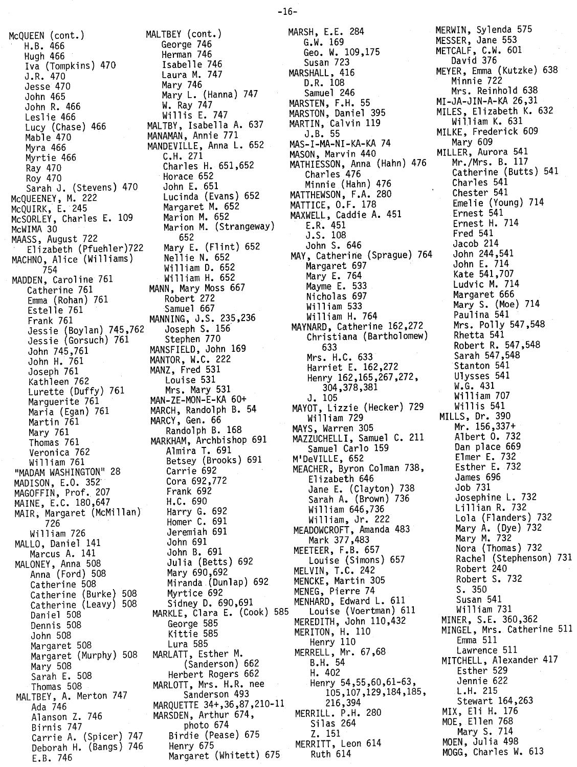McQUEEN (cont.) MALTBEY (cont.)<br>H.B. 466 George 746 Hugh 466<br>Iya (Tompkins) 470 Isabelle 746 Iva (Tompkins) 470 J.R. 470 Laura M. 747 Jesse 470<br>John 465 John R. 466 Leslie 466 Millis E. 747<br>Lucy (Chase) 466 MALTBY, Isabella Mable 470 MANAMAN, Annie 771 Myra 466 **MANDEVILLE, Anna L. 652**<br>Myrtie 466 **C.H. 271** Myrtie 466<br>Ray 470 Roy 470 Horace 652<br>Sarah J. (Stevens) 470 John E. 651 Sarah J. (Stevens) 470 John E. 651 McqUEENEY, M. 222 Lucinda (Evans) 652 McQUIRK, E. 245 Margaret M. 652 McSORLEY, Charles E. 109 McWIMA 30 Marion M. (Strangeway) MAASS, August 722 652 Elizabeth (Pfuehler)722 Mary E. (Flint)<br>HNO. Alice (Williams) 8611ie N. 652 MACHNO, Alice (Williams) 754 William D. 652 MADDEN, Caroline 761 William H. 652 Catherine 761 MANN, Mary Moss 667 Emma (Rohan) 761 Robert 272 Estelle 761 Samuel 667 Frank 761 MANNING, J.S. 235,236 Jessie (Boylan) 745,762 Joseph S. 156 Jessie (Gorsuch) 761 Stephen 770 John 745,761 MANSFIELD, John 169 John H. 761 MANTOR, W.C. 222 Joseph 761 MANZ, Fred 531 Kathleen 762 Louise 531 Lurette (Duffy) 761 Mrs. Mary 531 Marquerite 761 MAN-ZE-MON-E-KA 60+ Maria (Egan) 761 MARCH, Randolph B. 54 Martin 761 MARCY, Gen. 66 Mary 761 Randolph B. 168 Thomas 761 MARKHAM, Archbishop 691 Veronica 762 Almira T. 691 William 761 Betsey (Brooks) 691 "MADAM WASHINGTON" 28 Carrie 692 MADISON, E.O. 352' Cora 692,772 MAGOFFIN, Prof. 207 Frank 692 MAINE, E.C. 180,647 H.C. 690 MAIR, Margaret (McMillan) Margaret (McMillan) Harry G. 692<br>726 Homer C. 691 William 726 Jeremiah 691 MALLO, Daniel 141 John 691 Marcus A. 141 Marcus A. 141 John B. 691<br>MALONEY, Anna 508 Julia (Betts) 692 Anna (Ford) 508 Mary 690,692 Catherine 508 Miranda (Dunlap) 692 Catherine (Burke) 508 Myrtice 692 Catherine (Leavy) 508 Sidney D. 690,691 Daniel 508 MARKLE, Clara E. (Cook) 585 Dennis 508 George 585 John 508 Kittie 585 Margaret 508 Lura 585 Margaret (Murphy) 508 MARLATT, Esther M. Mary 508 (Sanderson) 662 Sarah E. 508 Herbert Rogers 662 Thomas 508 MARLOTT, Mrs. H.R. nee MALTBEY, A. Merton 747 Sanderson 493 Ada 746 MARQUETTE 34+,36,87,210-11 Alanson Z. 746 MARSDEN, Arthur 674, Birnis 747 photo 674 Carrie A. (Spicer) 747 Birdie (Pease) 675 Deborah H. (Bangs) 746 Henry 675 E.B. 746 Margaret (Whitett) 675

George 746 Mary L. (Hanna) 747<br>W. Ray 747 MALTBY, Isabella A. 637 Charles H. 651,652

MARSH, E.E. 284<br>G.W. 169  $\frac{1}{2}$ . W. 109  $\frac{1}{2}$  $\frac{1}{2}$  $\frac{1}{2}$  $\frac{1}{2}$  $\frac{1}{2}$ Susan 723 MARSHALL, 416 D.R. 108<br>Samuel 246 Samuel 246<br>Seeds - 1 18831 EN, F.H. 55  $\frac{1}{100}$ Marston, Daniel 395 MARTIN, Calvin 119 J.B. 55 MAS-I-MA-NI-KA-KA 74 MASON, Marvin 440 MATHIESSON, Anna (Hahn) 476 Charles 476 Minnie (Hahn) 476 MATTHEWSON, F.A. 280<br>MATTICE, O.F. 178  $M$ ATTICE,  $U \cdot \Gamma \cdot 170$ MAXWELL, Caddie A. 451 E.R. 451 J.S. 108 John S. 646 MAY, Catherine (Sprague) 764 Margaret 697 Mary E. 764 Mayme E. 533 Nicholas 697 Wi11iam 533 William H. 764 MAYNARD, Catherine 162,272 Christiana (Bartholomew) 633 Mrs. H.C. 633 Harriet E. 162,272 Henry 162,165,267,272, 304,378,381 J. 105 MAYOT, Lizzie (Hecker) 729 Will iam 729 MAYS, Warren 305 MAZZUCHELLI, Samuel C. 211 Samuel Carlo 159 M'DeVILLE, 652 MEACHER, Byron Colman 738, Elizabeth 646 Jane E. (Clayton) 738 Sarah A. (Brown) 736 Wi11iam 646,736 William, Jr. 222 MEADOWCROFT, Amanda 483 Mark 377,483 MEETEER, F.B. 657 Louise (Simons) 657 MELVIN, T.C. 242 MENCKE, Martin 305 MENEG, Pierre 74 MENHARD, Edward L. 611 Louise (Voertman) 611 MEREDITH, John 110,432 MERITON, H. 110 Henry 110 MERRELL, Mr. 67,68 B.H. 54 H. 402 Henry 54,55,60,61-63, 105,107,129,184,185, 216,394 MERRILL. P.H. 280 Silas 264 Z. 151 MERRITT, Leon 614 Ruth 614

MERWIN, Sylenda 575<br>Weech Jane 559 MESSER, SANC 553  $N = \begin{bmatrix} 1 & 0 & 0 & 0 \\ 0 & 0 & 0 & 0 \\ 0 & 0 & 0 & 0 \\ 0 & 0 & 0 & 0 \end{bmatrix}$ David 376 MEYER, Emma (Kutzke) 638 Minnie 722<br>Mrs. Reinhold 638  $MI-JA-JIN-A-KA 26,31$ MI-VA VIN A-NA 20902<br>Milec - Flimshoth *V* MILLUS ETTZUDCON K. 662<br>2011: Milliam K. 631 William K. 631<br>K. Fashanish MILKE, Frederick 609 nary 009<br>IED 8.... MILLER, AURORA 541<br>Miller, Miller, D. 117 mr./mr. s. D. 117<br>Gatharina (Dutt Catherine (Butts) 544 Charles 541 Chester JTI<br>Film (Vinc  $E$ melie (Young) 714  $E$ ricst 541 Ernest H. 714 Fred 541 Jacob 214 JOHN 244,541<br>Sido - 714 John E. 714 Mate 541,707 Ludvic M. 714 Margaret 666 Mary S. (Moe) 714 Paulina 541 Mrs. Polly 547,548 Rhetta 541 Robert R. 547,548 Sarah 547,548 Stanton 541 Ulysses 541 W.G. 431 Wi11iam 707 Willis 541 MILLS, Dr. 390 Mr. 156,337+ Albert O. 732 Dan place 669 Elmer E. 732 Esther E. 732 James 696 Job 731 Josephine L. 732 Lill ian R. 732 Lola (Flanders) 732 Mary A. (Dye) 73 Mary M. 732 Nora (Thomas) 732 Rachel (Stephenson) 731 Robert 240 Robert S. 732 S. 350 Susan 541 Will iam 731 MINER, S.E. 360,362 MINGEL, Mrs. Catherine 511 Emma 511 Lawrence 511 MITCHELL, Alexander 417 Esther 529 Jennie 622 L.H. 215 Stewart 164,263 MIX, Eli H. 176 MOE, Ellen 768 Mary S. 714 MOEN, Julia 498 MOGG, Charles W. 613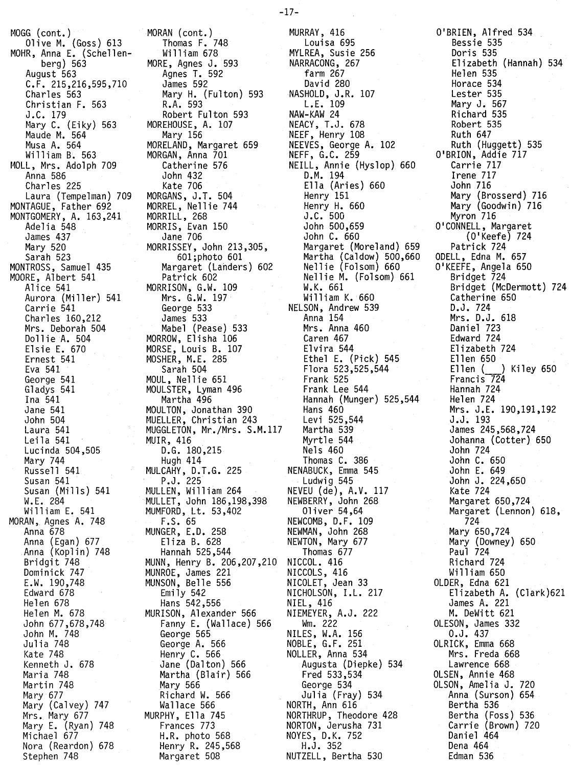MOGG (cont.) OliveM. (Goss) 613 MOHR, Anna E. (Schellenberg) 563 August 563 C.F. 215,216,595,710 Charles 563 Christian F. 563 J .C. 179 Mary C. (Eiky) 563 Maude M. 564 Musa A. 564 William B. 563 MOLL, Mrs. Adolph 709 Anna 586 Charles 225 Laura (Tempelman) 709 MONTAGUE, Father 692 MONTGOMERY, A. 163,241 Adelia 548 James 437 Mary 520 Sarah 523 MONTROSS, Samuel 435 MOORE, Albert 541 Alice 541 Aurora (Miller) 541 Carrie 541 Charl es 160,212 Mrs. Deborah 504<br>Dollie A. 504 Do 11 ieA. 504 Elsie E. 670 Ernest 541 Eva 541 George 541 Gladys 541 Ina 541 Jane 541 John 504 Laura 541 Leila 541 Lucinda 504,505 Mary 744 Russell 541 Susan 541 Susan (Mills) 541 W.E. 284 Wi 11 iam E. 541 MORAN, Agnes A. 748 Anna 678 Anna (Egan) 677 Anna (Koplin) 748 Bridgit 748 Dominick 747 E.W. 190 ,748 Edward 678 Helen 678 Helen M. 678 John 677,678,748 John M. 748 Julia 748 Kate 748 Kenneth J. 678 Maria 748 Martin 748 Mary 677 Mary (Calvey) 747 Mrs. Mary 677 Mary E. (Ryan) 748 Michael 677 Nora (Reardon) 678 Stephen 748

MORAN (cont.) Thomas F. 748 Wi 11iam 678 MORE, Agnes J. 593 Agnes T. 592 James 592 Mary H. (Fulton) 593 R.A. 593 Robert Fulton 593 MOREHOUSE, A. 107 Mary 156 MORELAND, Margaret 659 MORGAN, Anna 701 Catherine 576 John 432 Kate 706 MORGANS, J.T. 504 MORREL, Nellie 744 MORRILL, 268 MORRIS, Evan 150 Jane 706 MORRISSEY, John 213,305, 601;photo 601 Margaret (Lahders) 602 Patrick 602 MORRISON, G.W. 109 Mrs. G.W. 197 George 533 James 533 Mabel (Pease) 533 MORROW, Elisha 106 MORSE, Louis B. 107 MOSHER, M.E. 285 Sarah 504 MOUL, Nellie 651 MOULSTER, Lyman 496 Martha 496 MOULTON, Jonathan 390 MUELLER, Christian 243 MUGGLETON, Mr./Mrs. S.M.117 MUIR, 416 D.G. 180,215 Hugh 414 MULCAHY, D.T.G. 225 P.J. 225 HULLEN, William 264 MULLET, John 186,198,398 MUMFORD, Lt. 53,402 F.S. 65 MUNGER, E.D. 258 Eliza B. 628 Hannah 525,544 MUNN, Henry B. 206,207,210 MUNROE, James 221 MUNSON, Belle 556 Emily 542 Hans 542,556 MURISON, Alexander 566 Fanny E. (Wallace) 566 George 565 George A. 566 Henry C. 566 Jane (Dalton) 566 Martha (Blair) 566 Mary 566 Richard W. 566 Wallace 566 MURPHY, Ella 745 Frances 773 H.R. photo 568 Henry R. 245,568 Margaret 508

 $\sim 10^{-1}$ MURRAY, 416 Louisa 695 MYLREA, Susie 256 NARRACONG, 267 farm 267 David 280 NASHOLD, J.R. 107 L.E. 109 NAW-KAW 24 NEACY, T.J. 678 NEEF, Henry 108 NEEVES, George A. 102 NEFF, G.C. 259 NEILL, Annie (Hyslop) 660 D.M. 194 Ella (Aries) 660 Henry 151 Henry H. 660 J.C. 500 John 500,659 John C. 660 Margaret (Moreland) 659 Martha (Caldow) 500,660 Nellie (Folsom) 660 Nellie M. (Folsom) 661 W.K. 661 Will iam K. 660 NELSON, Andrew 539 Anna 154 Mrs. Anna 460 Caren 467 Elvira 544 Ethel E. (Pick) 545 Flora 523,525,544 Frank 525 Frank Lee 544 Hannah (Munger) 525,544 Hans 460 Levi 525,544 Martha 539 Myrtle 544 Nels 460 Thomas C. 386 NENABUCK, Emma 545 Ludwig 545 NEVEU (de), A.V. 117 NEWBERRY, John 268 Oliver 54,64 NEWCOMB, D.F. 109 NEWMAN, John 268 NEWTON, Mary 677 Thomas 677 NICCOL. 416 NICCOLS, 416 NICOLET, Jean 33 NICHOLSON, I.L. 217 NIEL, 416 NIEMEYER, A.J. 222 Wm. 222 NILES, W.A. 156 NOBLE, G.F. 251 NOLLER, Anna 534 Augusta (Diepke) 534 Fred 533,534 George 534 Julia (Fray) 534 NORTH, Ann 616 NORTHRUP, Theodore 428 NORTON, Jerusha 731 NOYES, O.K. 752 H.J. 352 NUTZELL, Bertha 530

O'BRIEN, Alfred 534 Bessie 535 Doris 535 Elizabeth (Hannah) 534 Helen 535 Horace 534 Lester 535 Mary J. 567 Richard 535 Robert 535 Ruth 647 Ruth (Huggett) 535 O'BRION, Addie 717 Carrie 717 Irene 717 John 716 Mary (Brosserd) 716 Mary (Goodwin) 716 Myron 716 O'CONNELL, Margaret (O'Keefe) 724 Patrick 724 ODELL, Edna M. 657 O'KEEFE, Angela 650 Bridget 724 Bridget (McDermott) 724 Catherine 650 D.J. 724 Mrs. D.J. 618 Daniel 723 Edward 724 Elizabeth 724 Ellen 650<br>Ellen ( ) Kiley 650 Francis<sub>724</sub> Hannah 724 Helen 724 Mrs. J.E. 190,191,192 J.J. 193 James 245,568,724 Johanna (Cotter) 650 John 724 John C. 650 John E. 649 John J. 224,650 Kate 724 Margaret 650,724 Margaret (Lennon) 618, 724 Mary 650,724 Mary (Downey) 650 Paul 724 Richard 724 Wi 11 iam 650 OLDER, Edna 621 Elizabeth A. (Clark)621 James A. 221 M. DeWitt 621 OLESON, James 332 O.J. 437 OLRICK, Emma 668 Mrs. Freda 668 Lawrence 668 OLSEN, Annie 468 OLSON, Amelia J. 720 Anna (Surson) 654 Bertha 536 Bertha (Foss) 536 Carrie (Brown) 720 Daniel 464 Dena 464 Edman 536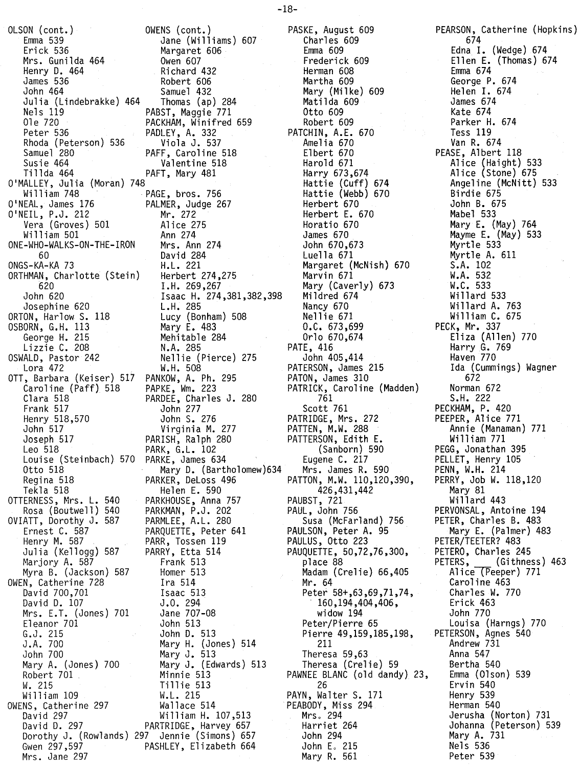OLSON (cont.) Emma 539 Erick 536 Mrs. Gunilda 464 Henry D. 464 James 536 John 464 Julia (Lindebrakke) 464 Nels 119 01e 720 Peter 536 Rhoda (Peterson) 536 Samuel 280 Susie 464 Ti llda 464 O'MALLEY, Julia (Moran) 748 William 748 O'NEAL, James 176 O'NEIL, P.J. 212 Vera (Groves) 501 Wi 11iam 501 ONE-WHO-WALKS-ON-THE-IRON 60 ONGS-KA-KA 73 ORTHMAN, Charlotte (Stein) 620 John 620 Josephine 620 ORTON, Harlow S. 118 OSBORN, G.H. 113 George H. 215 Lizzie C. 208 OSWALD, Pastor 242 Lora 472 OTT, Barbara (Keiser) 517 Caroline (Paff) 518 Clara 518 Frank 517 Henry 518,570 John 517 Joseph 517 Leo 518 Louise (Steinbach) Otto 518 Regina 518 Tekla 518 OTTERNESS, Mrs. L. 540 Rosa (Boutwell) 540 OVIATT, Dorothy J. 587 Ernest C. 587 Henry M. 587 Julia (Kellogg) 587 Marjory A. 587 Myra B. (Jackson) 587 OWEN, Catherine 728 David 700,701 David D. 107 Mrs. E.T. (Jones) 701 Eleanor 701 G.J. 215 J .A. 700 John 700 Mary A. (Jones) 700 Robert 701 W. 215 William 109 OWENS, Catherine 297 David 297 David D. 297 Dorothy J. (Rowlands) Gwen 297,597

Mrs. Jane 297

OWENS (cont.) Jane (Williams) 607 Margaret 606 Owen 607 Richard 432 Robert 606 Samuel 432 Thomas (ap) 284 PABST, Maggie 771 PACKHAM, Winifred 659 PADLEY, A. 332 Viola J. 537 PAFF, Caroline 518 Valentine 518 PAFT, Mary 481 PAGE, bros. 756 PALMER, Judge 267 Mr. 272 Alice 275 Ann 274 Mrs. Ann 274 David 284 H.L. 221 Herbert 274,275 I.H. 269,267 Isaac H. 274,381,382,398 L.H. 285 Lucy (Bonham) 508 Mary E. 483 Mehitable 284 N.A. 285 Nellie (Pierce) 275 W.H. 508 PANKOW, A. Ph. 295 PAPKE, Wm. 223 PARDEE, Charles J. 280 John 277 John S. 276 Virginia M. 277 PARISH, Ralph 280 PARK, G.L. 102 570 PARKE, James 634 Mary D. (Bartholomew)634 PARKER, DeLoss 496 Helen E. 590 PARKHOUSE, Anna 757 PARKMAN, P.J. 202 PARMLEE, A.L. 280 PARQUETTE, Peter 641 PARR, Tossen 119 PARRY, Etta 514 Frank 513 Homer 513 Ira 514 Isaac 513 J.O. 294 Jane 707-08 John 513 John D. 513 Mary H. (Jones) 514 Mary J. 513 Mary J. (Edwards) 513 Minnie 513 Tillie 513 W.L. 215 Wallace 514 William H. 107,513 PARTRIDGE, Harvey 657 297 Jennie (Simons) 657 PASHLEY, Elizabeth 664

PASKE, August 609 Charles 609 Emma 609 Frederick 609 Herman 608 Martha 609 Mary (Milke) 609 Matilda 609 Otto 609 Robert 609 PATCHIN, A.E. 670 Amelia 670 Elbert 670 Harold 671 Harry 673,674 Hattie (Cuff) 674 Hattie (Webb) 670 Herbert 670 Herbert E. 670 Horatio 670 James 670 John 670,673 Luella 671 Margaret (McNish) 670 Marvin 671 Mary (Caverly) 673 Mildred 674 Nancy 670 Nellie 671 O.C. 673,699 Orlo 670,674 PATE, 416 John 405,414 PATERSON, James 215 PATON, James 310 PATRICK, Caroline (Madden) 761 Scott 761 PATRIDGE, Mrs. 272 PATTEN, M.W. 288 PATTERSON, Edith E. (Sanborn) 590 Eugene C. 217 Mrs. James R. 590 PATTON, M.W. 110,120,390, 426,431,442 PAUBST, 721 PAUL, John 756 Susa (McFarland) 756 PAULSON, Peter A. 95 PAULUS, Otto 223 PAUQUETTE, 50,72,76,300, place 88 Madam (Crelie) 66,405 Mr. 64 Peter 58+,63,69,71,74, 160,194,404,406, widow 194 Peter/Pierre 65 Pierre 49,159,185,198, 211 Theresa 59,63 Theresa (Crelie) 59 PAWNEE BLANC (old dandy) 23, 26 PAYN, Walter S. 171 PEABODY, Miss 294 Mrs。294 Harriet 264 John 294 John E. 215 Mary R. 561

PEARSON, Catherine (Hopkins) 674 Edna I. (Wedge) 674 Ellen E. (Thomas) 674 Emma 674 George P. 674 Helen I. 674 James 674 Kate 674 Parker H. 674 Tess 119 Van R. 674 PEASE, Albert 118 Alice (Haight) 533 Alice (Stone) 675 Angeline (McNitt) 533 Birdie 675 John B. 675 Mabel 533 Mary E. (May) 764 Mayme E. (May) 533 Myrtle 533 Myrtle A. 611 S.A. 102 W.A. 532 W.C. 533 Willard 533 Wi 11ard A. 763 William C. 675 PECK, Mr. 337 Eliza (Allen) 770 Harry G. 769 Haven 770 Ida (Cummings) Wagner 672 Norman 672 S.H. 222 PECKHAM, P. 420 PEEPER, Alice 771 Annie (Manaman) 771 Will iam 771 PEGG, Jonathan 395 PELLET, Henry 105 PENN, W.H. 214 PERRY, Job W. 118,120 Mary 81 Willard 443 PERVONSAL, Antoine 194 PETER, Charles B. 483 Mary E. (Palmer) 483 PETER/TEETER? 483 PETERO, Charles 245 PETERS, (Githness) 463 Alice (Peeper) 771 Caroline 463 Charles W. 770 Erick 463 John 770 Louisa (Harngs) 770 PETERSON, Agnes 540 Andrew 731 Anna 547 Bertha 540 Emma (Olson) 539 Ervin 540 Henry 539 Herman 540 Jerusha (Norton) 731 Johanna (Peterson) 539 Mary A. 731 Nels 536 Peter 539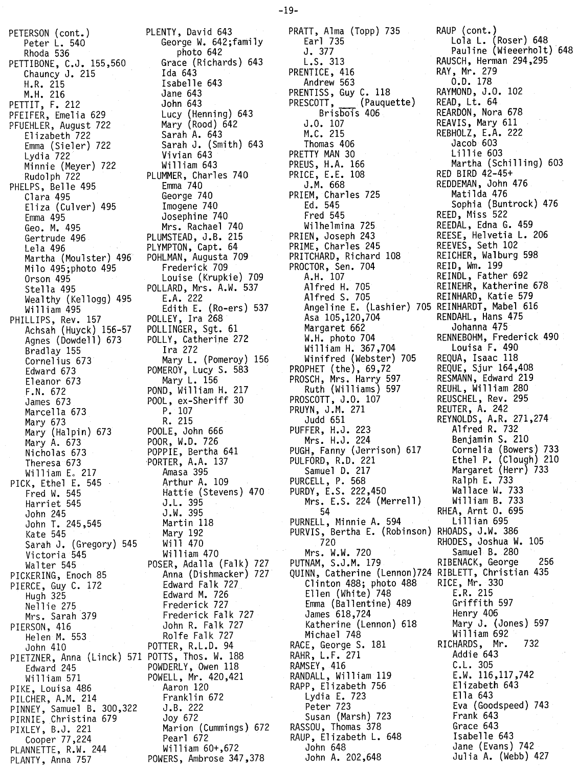PETERSON (cont.) Peter L. 540 Rhoda 536 PETTIBONE, C.J. 155,560 Chauncy J. 215 H.R. 215 M.H. 216 PETTIT, F. 212 PFEIFER, Emelia 629 PFUEHLER, August 722 Elizabeth 722 Emma (Sieler) 722 Lydia 722 Minnie (Meyer) 722 Rudolph 722 PHELPS, Belle 495 Clara 495 Eliza (Culver) 495 Emma 495 Geo. M. 495 Gertrude 496 Lela 496 Martha (Moulster) 496 Milo 495;photo 495 Orson 495 Stella 495 Wealthy (Kellogg) 495 Wi 11iam 495 PHILLIPS, Rev. 157 Achsah (Huyck) 156-57 Agnes (Dowdell) 673 Bradlay 155 Cornelius 673 Edward 673 Eleanor 673 F.N. 672 James 673 Marcella 673 Mary 673 Mary (Halpin) 673 Mary A. 673 Nicholas 673 Theresa 673 William E. 217 PICK, Ethel E. 545 Fred W. 545 Harriet 545 John 245 John T. 245,545 Kate 545 Sarah J. (Gregory) 545 Victoria 545 Walter 545 PICKERING, Enoch 85 PIERCE, Guy C. 172 Hugh 325 Nell ie 275 Mrs. Sarah 379 PIERSON, 416 Helen M. 553 John 410 PIETZNER, Anna (Linck) 571 POTTS, Thos. W. 188 Edward 245 Wi 11iam 571 PIKE, Louisa 486 PILCHER, A.M. 214 PINNEY, Samuel B. 300,322 PIRNIE, Christina 679 PIXLEY, B.J. 221 Cooper 77,224 PLANNETTE, R.W. 244 PLANTY, Anna 757

PLENTY, David 643 George W. 642;family photo 642 Grace (Richards) 643 Ida 643 Isabe 11e 643 Jane 643 John 643 Lucy (Henning) 643 Mary (Rood) 642 Sarah A. 643 Sarah J. (Smith) 643 Vivian 643 William 643 PLUMMER, Charles 740 Emma 740 George 740 Imogene 740 Josephine 740 Mrs. Rachael 740 PLUMSTEAD, J.B. 215 PLYMPTON, Capt. 64 POHLMAN, Augusta 709 Frederick 709 Louise (Krupkie) 709 POLLARD, Mrs. A.W. 537 E.A. 222 Edith E. (Ro-ers) 537 POLLEY, Ira 268 POLLINGER, Sgt. 61 POLLY, Catherine 272 Ira 272 Mary L. (Pomeroy) 156 POMEROY, Lucy S. 583 Mary L. 156 POND, William H. 217 POOL, ex-Sheriff 30 P. 107 R. 215 POOLE, John 666 POOR, W.D. 726 POPPlE, Bertha 641 PORTER, A.A. 137 Amasa 395 Arthur A. 109 Hattie (Stevens) 470 J.L. 395 J.W. 395 Martin 118 Mary 192 Wi11 470 William 470 POSER, Adalla (Falk) 727 Anna (Dishmacker) 727 Edward Fa1k 727 Edward M. 726 Frederick 727 Frederick Falk 727 John R. Falk 727 Rolfe Falk 727 POTTER, R.L.D. 94 POWDERLY, Owen 118 POWELL, Mr. 420,421 Aaron 120 Franklin 672 J.B. 222 Joy 672 Marion (Cummings) 672 Pearl 672 William 60+,672 POWERS, Ambrose 347,378

PRATT, Alma (Topp) 735 RAUP (cont.) Earl 735 Lola L. (Roser) 648 L.S. 313 RAUSCH, Herman 294,295 PRENTICE, 416 RAY, Mr. 279 Andrew 563 O.D. 178 PRENTISS, Guy C. 118 RAYMOND, J.O. 102<br>PRESCOTT, (Pauquette) READ, Lt. 64 PRESCOTT**, Pauquette**) READ, Lt. 64 Brisbois 406 REARDON, Nora 678 J.O. 107 REAVIS, Mary 611 M.C. 215 REBHOLZ, E.A. 222 Thomas 406 Jacob 603 PRETTY MAN 30<br>PREUS, H.A. 166 PRICE, E.E. 108<br>J.M. 668 PRIEM, Charles 725<br>Ed. 545 Ed. 545 Sophia (Buntrock) 476 Wilhelmina 725 REEDAL, Edna G. 459 PRIEN, Joseph 243 REESE, Helvetia L. 206<br>PRIME, Charles 245 REEVES, Seth 102<br>PRITCHARD, Richard 108 REICHER, Walburg 598 PRIME, Charles 245 PRITCHARD, Richard 108 PROCTOR, Sen. 704<br>A.H. 107 A.H. 107 REINDL, Father 692 Alfred H. 705 REINEHR, Katherine 678 Alfred S. 705 REINHARD, Katie 579 Angeline E. (Lashier) 705 REINHARDT, Mabel 616 Asa 105,120,704 RENDAHL, Hans 475 Margaret 662<br>W.H. photo 704 William H. 367,704 Louisa F. 490<br>Winifred (Webster) 705 REQUA, Isaac 118<br>PHET (the), 69,72 REQUE, Sjur 164,408<br>SCH, Mrs. Harry 597 RESMANN, Edward 219 Winifred (Webster) 705 PROPHET  $(the)$ , 69,72 PROSCH, Mrs. Harry 597 RESMANN, Edward 219<br>Ruth (Williams) 597 REUHL, William 280 Ruth (Williams) 597 REUHL, William 280<br>SCOTT, J.O. 107 REUSCHEL, Rev. 295 PROSCOTT, J.O. 107 PRUYN, J.M. 271 Judd 651 REYNOLDS, A.R. 271,274 PUFFER, H.J. 223 Alfred R. 732 PUFFER, H.J. 223 Alfred R. 732<br>Mrs. H.J. 224 Benjamin S. 210 PUGH, Fanny (Jerrison) 617<br>PULFORD, R.D. 221<br>Samuel D. 217 PULFORD, R.D. 221 Ethel P. (Clough) 210 Samuel D. 217 Margaret (Herr) 733 PURCELL, P. 568 Raiph E. 733 PURDY, E.S. 222,450 Wallace W. 733 Mrs. E.S. 224 (Merrell) William B. 733 54 RHEA, Arnt O. 695 PURNELL, Minnie A. 594 PURVIS, Bertha E. (Robinson) RHOADS, J.W. 386 720 RHODES, Joshua W. 105 Mrs. W.W. 720 Samuel B. 280 PUTNAM, S.J.M. 179 RIBENACK, George 256 QUINN, Catherine (Lennon)724 RIBLETT, Christian 435<br>Clinton 488; photo 488 RICE, Mr. 330<br>Ellen (White) 748 E.R. 215 Clinton 488; photo 488 Ellen (White) 748 LR. 215 Emma (Ballentine) 489 James 618,724 Henry 406 Katherine (Lennon) 618 Mary J. (Jones) 597 Michael 748 William 692 RACE, George S. 181 RICHARDS, Mr. 732 RAHR, L.F. 271 Addie 643 RAMSEY, 416<br>
RAMSEY, 416<br>
RANDALL, William 119<br>
E.W. 116,117,742 RANDALL, William 119 RAPP, Elizabeth 756 Elizabeth 643 Lydia E. 723 Ella 643 Peter 723 Eva (Goodspeed) 743 Susan (Marsh) 723 RASSOU, Thomas 378 Grace 643 RAUP, Elizabeth L. 648 Isabelle 643 John 648 Jane (Evans) 742 John A. 202,648 Jul ia A. (Webb) 427

J. 377 Pauline (Wieeerholt) 648 Martha (Schilling) 603<br>RED BIRD 42-45+ REDDEMAN, John 476<br>Matilda 476 REED, Miss 522 RENNEBOHM, Frederick 490<br>Louisa F. 490